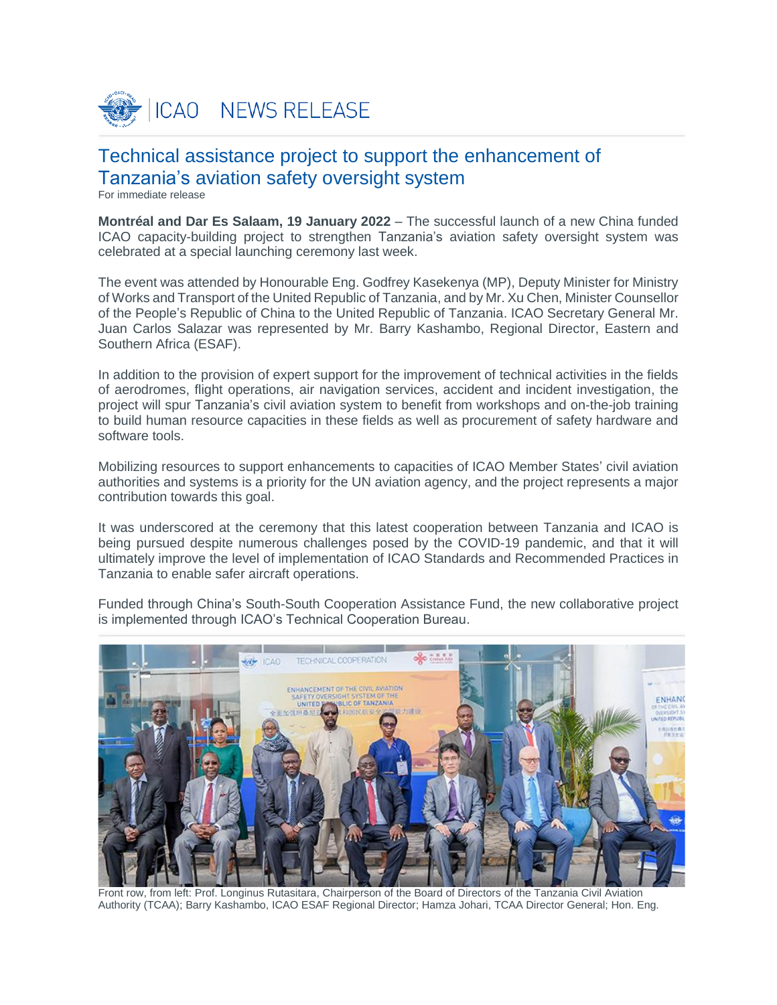

# Technical assistance project to support the enhancement of Tanzania's aviation safety oversight system

For immediate release

**Montréal and Dar Es Salaam, 19 January 2022** – The successful launch of a new China funded ICAO capacity-building project to strengthen Tanzania's aviation safety oversight system was celebrated at a special launching ceremony last week.

The event was attended by Honourable Eng. Godfrey Kasekenya (MP), Deputy Minister for Ministry of Works and Transport of the United Republic of Tanzania, and by Mr. Xu Chen, Minister Counsellor of the People's Republic of China to the United Republic of Tanzania. ICAO Secretary General Mr. Juan Carlos Salazar was represented by Mr. Barry Kashambo, Regional Director, Eastern and Southern Africa (ESAF).

In addition to the provision of expert support for the improvement of technical activities in the fields of aerodromes, flight operations, air navigation services, accident and incident investigation, the project will spur Tanzania's civil aviation system to benefit from workshops and on-the-job training to build human resource capacities in these fields as well as procurement of safety hardware and software tools.

Mobilizing resources to support enhancements to capacities of ICAO Member States' civil aviation authorities and systems is a priority for the UN aviation agency, and the project represents a major contribution towards this goal.

It was underscored at the ceremony that this latest cooperation between Tanzania and ICAO is being pursued despite numerous challenges posed by the COVID-19 pandemic, and that it will ultimately improve the level of implementation of ICAO Standards and Recommended Practices in Tanzania to enable safer aircraft operations.

Funded through China's South-South Cooperation Assistance Fund, the new collaborative project is implemented through ICAO's Technical Cooperation Bureau.



Front row, from left: Prof. Longinus Rutasitara, Chairperson of the Board of Directors of the Tanzania Civil Aviation Authority (TCAA); Barry Kashambo, ICAO ESAF Regional Director; Hamza Johari, TCAA Director General; Hon. Eng.